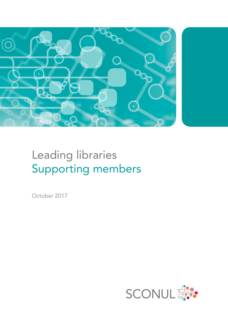

# Leading libraries Supporting members

October 2017

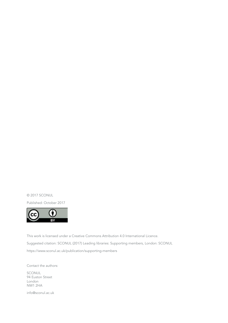© 2017 SCONUL

Published: October 2017



This work is licensed under a Creative Commons Attribution 4.0 International Licence. Suggested citation: SCONUL (2017) Leading libraries: Supporting members, London: SCONUL <https://www.sconul.ac.uk/publication/supporting>-members

Contact the authors:

SCONUL 94 Euston Street London NW1 2HA

[info@sconul.ac.uk](mailto:info@sconul.ac.uk)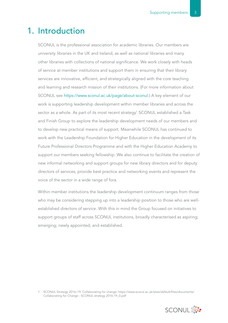### 1. Introduction

SCONUL is the professional association for academic libraries. Our members are university libraries in the UK and Ireland, as well as national libraries and many other libraries with collections of national significance. We work closely with heads of service at member institutions and support them in ensuring that their library services are innovative, efficient, and strategically aligned with the core teaching and learning and research mission of their institutions. (For more information about SCONUL see [https://www.sconul.ac.uk/page/about](https://www.sconul.ac.uk/page/about-sconul)-sconul.) A key element of our work is supporting leadership development within member libraries and across the sector as a whole. As part of its most recent strategy<sup>1</sup> SCONUL established a Task and Finish Group to explore the leadership development needs of our members and to develop new practical means of support. Meanwhile SCONUL has continued to work with the Leadership Foundation for Higher Education in the development of its Future Professional Directors Programme and with the Higher Education Academy to support our members seeking fellowship. We also continue to facilitate the creation of new informal networking and support groups for new library directors and for deputy directors of services, provide best practice and networking events and represent the voice of the sector in a wide range of fora.

Within member institutions the leadership development continuum ranges from those who may be considering stepping up into a leadership position to those who are wellestablished directors of service. With this in mind the Group focused on initiatives to support groups of staff across SCONUL institutions, broadly characterised as aspiring; emerging; newly appointed; and established.

1 SCONUL Strategy 2016–19. Collaborating for change: [https://www.sconul.ac.uk/sites/default/files/documents/](https://www.sconul.ac.uk/sites/default/files/documents/Collaborating for Change - SCONUL strategy 2016-19_0.pdf) [Collaborating](https://www.sconul.ac.uk/sites/default/files/documents/Collaborating for Change - SCONUL strategy 2016-19_0.pdf) for Change - SCONUL strategy [2016-19\\_0.pdf](2016-19_0.pdf)

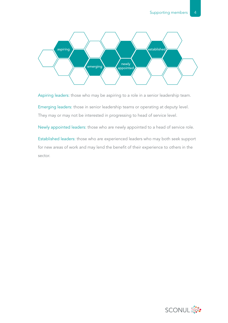

Aspiring leaders: those who may be aspiring to a role in a senior leadership team.

Emerging leaders: those in senior leadership teams or operating at deputy level. They may or may not be interested in progressing to head of service level.

Newly appointed leaders: those who are newly appointed to a head of service role.

Established leaders: those who are experienced leaders who may both seek support for new areas of work and may lend the benefit of their experience to others in the sector.

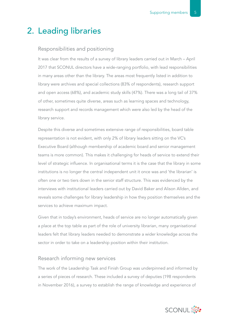### 2. Leading libraries

#### Responsibilities and positioning

It was clear from the results of a survey of library leaders carried out in March – April 2017 that SCONUL directors have a wide-ranging portfolio, with lead responsibilities in many areas other than the library. The areas most frequently listed in addition to library were archives and special collections (83% of respondents), research support and open access (68%), and academic study skills (47%). There was a long tail of 37% of other, sometimes quite diverse, areas such as learning spaces and technology, research support and records management which were also led by the head of the library service.

Despite this diverse and sometimes extensive range of responsibilities, board table representation is not evident, with only 2% of library leaders sitting on the VC's Executive Board (although membership of academic board and senior management teams is more common). This makes it challenging for heads of service to extend their level of strategic influence. In organisational terms it is the case that the library in some institutions is no longer the central independent unit it once was and 'the librarian' is often one or two tiers down in the senior staff structure. This was evidenced by the interviews with institutional leaders carried out by David Baker and Alison Allden, and reveals some challenges for library leadership in how they position themselves and the services to achieve maximum impact.

Given that in today's environment, heads of service are no longer automatically given a place at the top table as part of the role of university librarian, many organisational leaders felt that library leaders needed to demonstrate a wider knowledge across the sector in order to take on a leadership position within their institution.

#### Research informing new services

The work of the Leadership Task and Finish Group was underpinned and informed by a series of pieces of research. These included a survey of deputies (198 respondents in November 2016), a survey to establish the range of knowledge and experience of

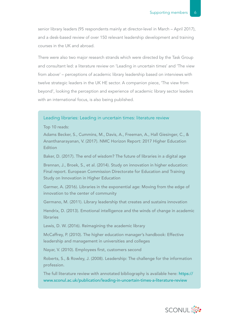senior library leaders (95 respondents mainly at director-level in March – April 2017), and a desk-based review of over 150 relevant leadership development and training courses in the UK and abroad.

There were also two major research strands which were directed by the Task Group and consultant led: a literature review on 'Leading in uncertain times' and 'The view from above' – perceptions of academic library leadership based on interviews with twelve strategic leaders in the UK HE sector. A companion piece, 'The view from beyond', looking the perception and experience of academic library sector leaders with an international focus, is also being published.

#### Leading libraries: Leading in uncertain times: literature review

Top 10 reads:

Adams Becker, S., Cummins, M., Davis, A., Freeman, A., Hall Giesinger, C., & Ananthanarayanan, V. (2017). NMC Horizon Report: 2017 Higher Education **Edition** 

Baker, D. (2017). The end of wisdom? The future of libraries in a digital age

Brennan, J., Broek, S., et al. (2014). Study on innovation in higher education: Final report. European Commission Directorate for Education and Training Study on Innovation in Higher Education

Garmer, A. (2016). Libraries in the exponential age: Moving from the edge of innovation to the center of community

Germano, M. (2011). Library leadership that creates and sustains innovation

Hendrix, D. (2013). Emotional intelligence and the winds of change in academic **libraries** 

Lewis, D. W. (2016). Reimagining the academic library

McCaffrey, P. (2010). The higher education manager's handbook: Effective leadership and management in universities and colleges

Nayar, V. (2010). Employees first, customers second

Roberts, S., & Rowley, J. (2008). Leadership: The challenge for the information profession.

The full literature review with annotated bibliography is available here: [https://](https://www.sconul.ac.uk/publication/leading-in-uncertain-times-a-literature-review) [www.sconul.ac.uk/publication/leading-](https://www.sconul.ac.uk/publication/leading-in-uncertain-times-a-literature-review)in-uncertain-times-a-literature-review

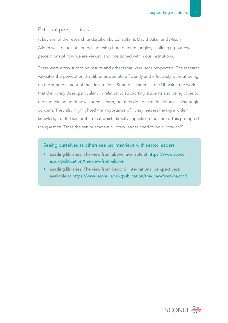#### External perspectives

A key aim of the research undertaken by consultants David Baker and Alison Allden was to look at library leadership from different angles, challenging our own perceptions of how we are viewed and positioned within our institutions.

There were a few surprising results and others that were not unexpected. The research validates the perception that libraries operate efficiently and effectively without being on the strategic radar of their institutions. Strategic leaders in the UK value the work that the library does, particularly in relation to supporting students and being close to the understanding of how students learn, but they do not see the library as a strategic concern. They also highlighted the importance of library leaders having a wider knowledge of the sector than that which directly impacts on their area. This prompted the question 'Does the senior academic library leader need to be a librarian?'

Seeing ourselves as others see us: interviews with sector leaders

- Leading libraries: The view from above: available at [https://www.sconul.](https://www.sconul.ac.uk/publication/the-view-from-above) [ac.uk/publication/the-view-from-above](https://www.sconul.ac.uk/publication/the-view-from-above)
- Leading libraries: The view from beyond (international perspectives): available at [https://www.sconul.ac.uk/publication/the-](https://www.sconul.ac.uk/publication/the-view-from-beyond)view-from-beyond

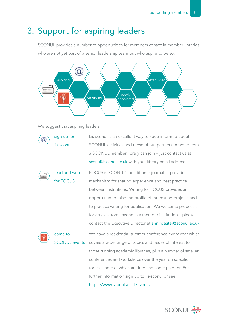# 3. Support for aspiring leaders

SCONUL provides a number of opportunities for members of staff in member libraries who are not yet part of a senior leadership team but who aspire to be so.



We suggest that aspiring leaders:



[https://www.sconul.ac.uk/events.](https://www.sconul.ac.uk/events)

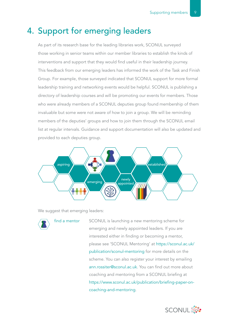## 4. Support for emerging leaders

As part of its research base for the leading libraries work, SCONUL surveyed those working in senior teams within our member libraries to establish the kinds of interventions and support that they would find useful in their leadership journey. This feedback from our emerging leaders has informed the work of the Task and Finish Group. For example, those surveyed indicated that SCONUL support for more formal leadership training and networking events would be helpful. SCONUL is publishing a directory of leadership courses and will be promoting our events for members. Those who were already members of a SCONUL deputies group found membership of them invaluable but some were not aware of how to join a group. We will be reminding members of the deputies' groups and how to join them through the SCONUL email list at regular intervals. Guidance and support documentation will also be updated and provided to each deputies group.



We suggest that emerging leaders:



find a mentor SCONUL is launching a new mentoring scheme for emerging and newly appointed leaders. If you are interested either in finding or becoming a mentor, please see 'SCONUL Mentoring' at [https://sconul.ac.uk/](https://sconul.ac.uk/publication/sconul) [publication/sconul-](https://sconul.ac.uk/publication/sconul)mentoring for more details on the scheme. You can also register your interest by emailing [ann.rossiter@sconul.ac.uk.](mailto:ann.rossiter%40sconul.ac.uk?subject=) You can find out more about coaching and mentoring from a SCONUL briefing at [https://www.sconul.ac.uk/publication/b](https://www.sconul.ac.uk/publication/sconul-mentoring)riefing-paper-oncoaching-and-mentoring.

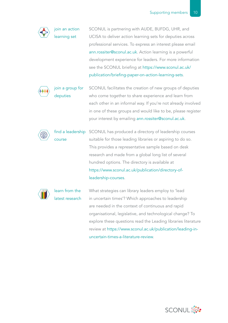join an action learning set SCONUL is partnering with AUDE, BUFDG, UHR, and UCISA to deliver action learning sets for deputies across professional services. To express an interest please email [ann.rossiter@sconul.ac.uk.](mailto:ann.rossiter%40sconul.ac.uk?subject=) Action learning is a powerful development experience for leaders. For more information see the SCONUL briefing at [https://www.sconul.ac.uk/](https://www.sconul.ac.uk/publication/briefing-paper-on-action-learning-sets) [publication/briefing-paper-on-action-learning-sets](https://www.sconul.ac.uk/publication/briefing-paper-on-action-learning-sets).



join a group for deputies

SCONUL facilitates the creation of new groups of deputies who come together to share experience and learn from each other in an informal way. If you're not already involved in one of these groups and would like to be, please register your interest by emailing [ann.rossiter@sconul.ac.uk.](mailto:ann.rossiter%40sconul.ac.uk?subject=)

find a leadership SCONUL has produced a directory of leadership courses course suitable for those leading libraries or aspiring to do so. This provides a representative sample based on desk research and made from a global long list of several hundred options. The directory is available at [https://www.sconul.ac.uk/publication/directory-of](https://www.sconul.ac.uk/publication/directory-of-leadership-courses)[leadership-courses](https://www.sconul.ac.uk/publication/directory-of-leadership-courses).



learn from the latest research What strategies can library leaders employ to 'lead in uncertain times'? Which approaches to leadership are needed in the context of continuous and rapid organisational, legislative, and technological change? To explore these questions read the Leading libraries literature review at [https://www.sconul.ac.uk/publication/leading-in](https://www.sconul.ac.uk/publication/leading-in-uncertain-times-a-literature-review)[uncertain-times-a-literature-review](https://www.sconul.ac.uk/publication/leading-in-uncertain-times-a-literature-review).

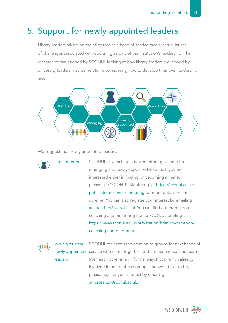# 5. Support for newly appointed leaders

Library leaders taking on their first role as a head of service face a particular set of challenges associated with operating as part of the institution's leadership. The research commissioned by SCONUL looking at how library leaders are viewed by university leaders may be helpful in considering how to develop their own leadership style.



We suggest that newly appointed leaders:



find a mentor SCONUL is launching a new mentoring scheme for emerging and newly appointed leaders. If you are interested either in finding or becoming a mentor, please see 'SCONUL Mentoring' at [https://sconul.ac.uk/](https://sconul.ac.uk/publication/sconul) [publication/sconul-](https://sconul.ac.uk/publication/sconul)mentoring for more details on the scheme. You can also register your interest by emailing [ann.rossiter@sconul.ac.uk.](mailto:ann.rossiter%40sconul.ac.uk?subject=)You can find out more about coaching and mentoring from a SCONUL briefing at [https://www.sconul.ac.uk/publication/briefing-](https://www.sconul.ac.uk/publication/briefing-paper-on-coaching-and-mentoring)paper-oncoaching-and-mentoring.



join a group for leaders

newly appointed service who come together to share experience and learn SCONUL facilitates the creation of groups for new heads of from each other in an informal way. If you're not already involved in one of these groups and would like to be, please register your interest by emailing [ann.rossiter@sconul.ac.uk.](mailto:ann.rossiter%40sconul.ac.uk?subject=)

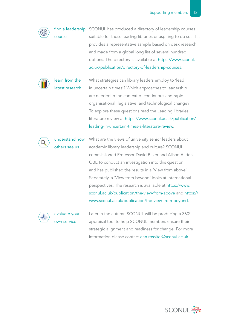

find a leadership SCONUL has produced a directory of leadership courses course

suitable for those leading libraries or aspiring to do so. This provides a representative sample based on desk research and made from a global long list of several hundred options. The directory is available at [https://www.sconul.](https://www.sconul.ac.uk/publication/directory-of-leadership-courses) [ac.uk/publication/directory](https://www.sconul.ac.uk/publication/directory-of-leadership-courses)-of-leadership-courses.



learn from the latest research What strategies can library leaders employ to 'lead in uncertain times'? Which approaches to leadership are needed in the context of continuous and rapid organisational, legislative, and technological change? To explore these questions read the Leading libraries literature review at [https://www.sconul.ac.uk/publication/](https://www.sconul.ac.uk/publication/leading-in-uncertain-times-a-literature-review) [leading](https://www.sconul.ac.uk/publication/leading-in-uncertain-times-a-literature-review)-in-uncertain-times-a-literature-review.



understand how others see us

What are the views of university senior leaders about academic library leadership and culture? SCONUL commissioned Professor David Baker and Alison Allden OBE to conduct an investigation into this question, and has published the results in a 'View from above'. Separately, a 'View from beyond' looks at international perspectives. The research is available at [https://www.](https://www.sconul.ac.uk/publication/the-view-from-above) [sconul.ac.uk/publication/the](https://www.sconul.ac.uk/publication/the-view-from-above)-view-from-above and [https://](https://www.sconul.ac.uk/publication/the-view-from-beyond) [www.sconul.ac.uk/publication/the-view-from-beyond.](https://www.sconul.ac.uk/publication/the-view-from-beyond)



evaluate your own service

Later in the autumn SCONUL will be producing a 360° appraisal tool to help SCONUL members ensure their strategic alignment and readiness for change. For more information please contact [ann.rossiter@sconul.ac.uk](mailto:ann.rossiter%40sconul.ac.uk?subject=).

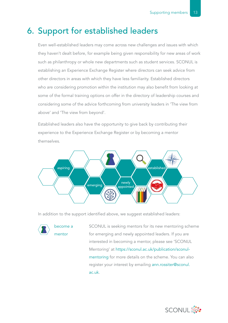# 6. Support for established leaders

Even well-established leaders may come across new challenges and issues with which they haven't dealt before, for example being given responsibility for new areas of work such as philanthropy or whole new departments such as student services. SCONUL is establishing an Experience Exchange Register where directors can seek advice from other directors in areas with which they have less familiarity. Established directors who are considering promotion within the institution may also benefit from looking at some of the formal training options on offer in the directory of leadership courses and considering some of the advice forthcoming from university leaders in 'The view from above' and 'The view from beyond'.

Established leaders also have the opportunity to give back by contributing their experience to the Experience Exchange Register or by becoming a mentor themselves.



In addition to the support identified above, we suggest established leaders:

become a mentor

SCONUL is seeking mentors for its new mentoring scheme for emerging and newly appointed leaders. If you are interested in becoming a mentor, please see 'SCONUL Mentoring' at<https://sconul.ac.uk/publication/sconul>mentoring for more details on the scheme. You can also register your interest by emailing [ann.rossiter@sconul.](mailto:ann.rossiter%40sconul.ac.uk?subject=) [ac.uk](mailto:ann.rossiter%40sconul.ac.uk?subject=).

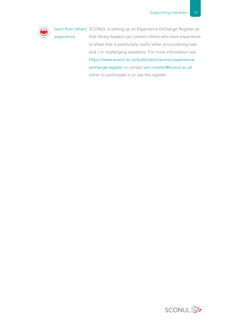

learn from others' SCONUL is setting up an Experience Exchange Register so experience that library leaders can contact others who have experience to share that is particularly useful when encountering new and / or challenging situations. For more information see [https://www.sconul.ac.uk/publication/sconul](https://www.sconul.ac.uk/publication/sconul-experience-exchange-register)-experienceexchange-register or contact [ann.rossiter@sconul.ac.uk](mailto:ann.rossiter%40sconul.ac.uk?subject=) either to participate in or use the register.

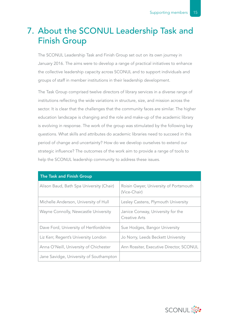# 7. About the SCONUL Leadership Task and Finish Group

The SCONUL Leadership Task and Finish Group set out on its own journey in January 2016. The aims were to develop a range of practical initiatives to enhance the collective leadership capacity across SCONUL and to support individuals and groups of staff in member institutions in their leadership development.

The Task Group comprised twelve directors of library services in a diverse range of institutions reflecting the wide variations in structure, size, and mission across the sector. It is clear that the challenges that the community faces are similar. The higher education landscape is changing and the role and make-up of the academic library is evolving in response. The work of the group was stimulated by the following key questions. What skills and attributes do academic libraries need to succeed in this period of change and uncertainty? How do we develop ourselves to extend our strategic influence? The outcomes of the work aim to provide a range of tools to help the SCONUL leadership community to address these issues.

| <b>The Task and Finish Group</b>         |                                                           |
|------------------------------------------|-----------------------------------------------------------|
| Alison Baud, Bath Spa University (Chair) | Roisin Gwyer, University of Portsmouth<br>(Vice-Chair)    |
| Michelle Anderson, University of Hull    | Lesley Castens, Plymouth University                       |
| Wayne Connolly, Newcastle University     | Janice Conway, University for the<br><b>Creative Arts</b> |
| Dave Ford, University of Hertfordshire   | Sue Hodges, Bangor University                             |
| Liz Kerr, Regent's University London     | Jo Norry, Leeds Beckett University                        |
| Anna O'Neill, University of Chichester   | Ann Rossiter, Executive Director, SCONUL                  |
| Jane Savidge, University of Southampton  |                                                           |